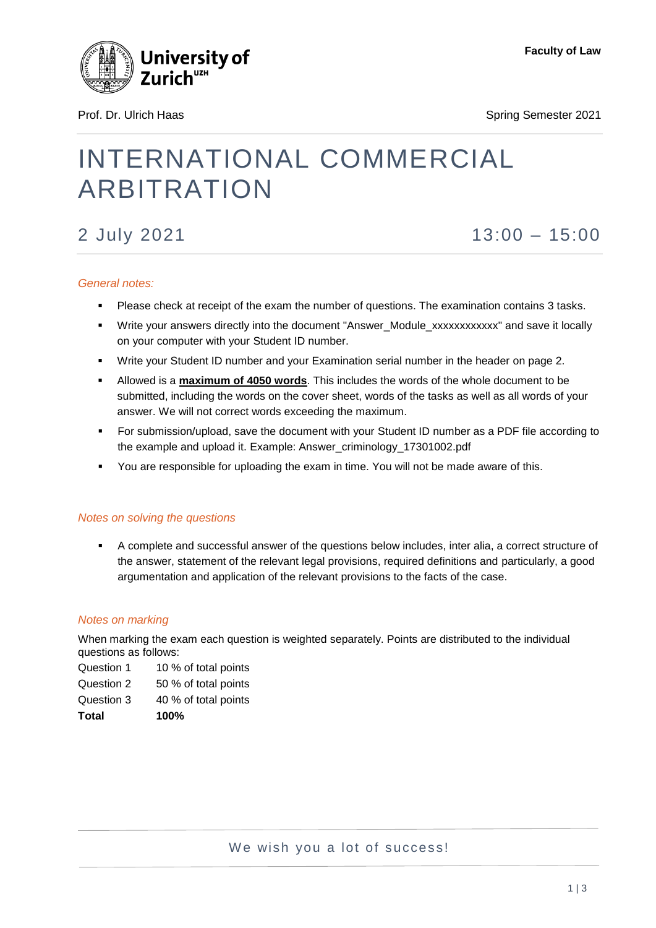

Prof. Dr. Ulrich Haas Spring Semester 2021

# INTERNATIONAL COMMERCIAL ARBITRATION

## 2 July 2021 13:00 – 15:00

### *General notes:*

- Please check at receipt of the exam the number of questions. The examination contains 3 tasks.
- \* Write your answers directly into the document "Answer\_Module\_xxxxxxxxxxxx" and save it locally on your computer with your Student ID number.
- Write your Student ID number and your Examination serial number in the header on page 2.
- Allowed is a **maximum of 4050 words**. This includes the words of the whole document to be submitted, including the words on the cover sheet, words of the tasks as well as all words of your answer. We will not correct words exceeding the maximum.
- For submission/upload, save the document with your Student ID number as a PDF file according to the example and upload it. Example: Answer\_criminology\_17301002.pdf
- You are responsible for uploading the exam in time. You will not be made aware of this.

### *Notes on solving the questions*

 A complete and successful answer of the questions below includes, inter alia, a correct structure of the answer, statement of the relevant legal provisions, required definitions and particularly, a good argumentation and application of the relevant provisions to the facts of the case.

#### *Notes on marking*

When marking the exam each question is weighted separately. Points are distributed to the individual questions as follows:

Question 1 10 % of total points

- Question 2 50 % of total points
- Question 3 40 % of total points
- **Total 100%**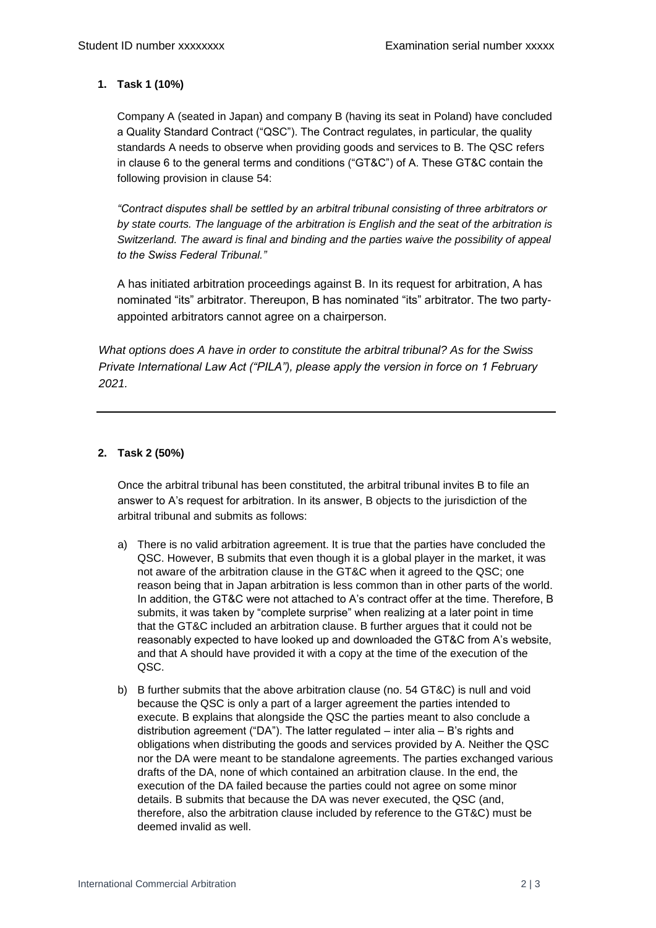#### **1. Task 1 (10%)**

Company A (seated in Japan) and company B (having its seat in Poland) have concluded a Quality Standard Contract ("QSC"). The Contract regulates, in particular, the quality standards A needs to observe when providing goods and services to B. The QSC refers in clause 6 to the general terms and conditions ("GT&C") of A. These GT&C contain the following provision in clause 54:

*"Contract disputes shall be settled by an arbitral tribunal consisting of three arbitrators or by state courts. The language of the arbitration is English and the seat of the arbitration is Switzerland. The award is final and binding and the parties waive the possibility of appeal to the Swiss Federal Tribunal."* 

A has initiated arbitration proceedings against B. In its request for arbitration, A has nominated "its" arbitrator. Thereupon, B has nominated "its" arbitrator. The two partyappointed arbitrators cannot agree on a chairperson.

*What options does A have in order to constitute the arbitral tribunal? As for the Swiss Private International Law Act ("PILA"), please apply the version in force on 1 February 2021.*

#### **2. Task 2 (50%)**

Once the arbitral tribunal has been constituted, the arbitral tribunal invites B to file an answer to A's request for arbitration. In its answer, B objects to the jurisdiction of the arbitral tribunal and submits as follows:

- a) There is no valid arbitration agreement. It is true that the parties have concluded the QSC. However, B submits that even though it is a global player in the market, it was not aware of the arbitration clause in the GT&C when it agreed to the QSC; one reason being that in Japan arbitration is less common than in other parts of the world. In addition, the GT&C were not attached to A's contract offer at the time. Therefore, B submits, it was taken by "complete surprise" when realizing at a later point in time that the GT&C included an arbitration clause. B further argues that it could not be reasonably expected to have looked up and downloaded the GT&C from A's website, and that A should have provided it with a copy at the time of the execution of the QSC.
- b) B further submits that the above arbitration clause (no. 54 GT&C) is null and void because the QSC is only a part of a larger agreement the parties intended to execute. B explains that alongside the QSC the parties meant to also conclude a distribution agreement ("DA"). The latter regulated – inter alia – B's rights and obligations when distributing the goods and services provided by A. Neither the QSC nor the DA were meant to be standalone agreements. The parties exchanged various drafts of the DA, none of which contained an arbitration clause. In the end, the execution of the DA failed because the parties could not agree on some minor details. B submits that because the DA was never executed, the QSC (and, therefore, also the arbitration clause included by reference to the GT&C) must be deemed invalid as well.